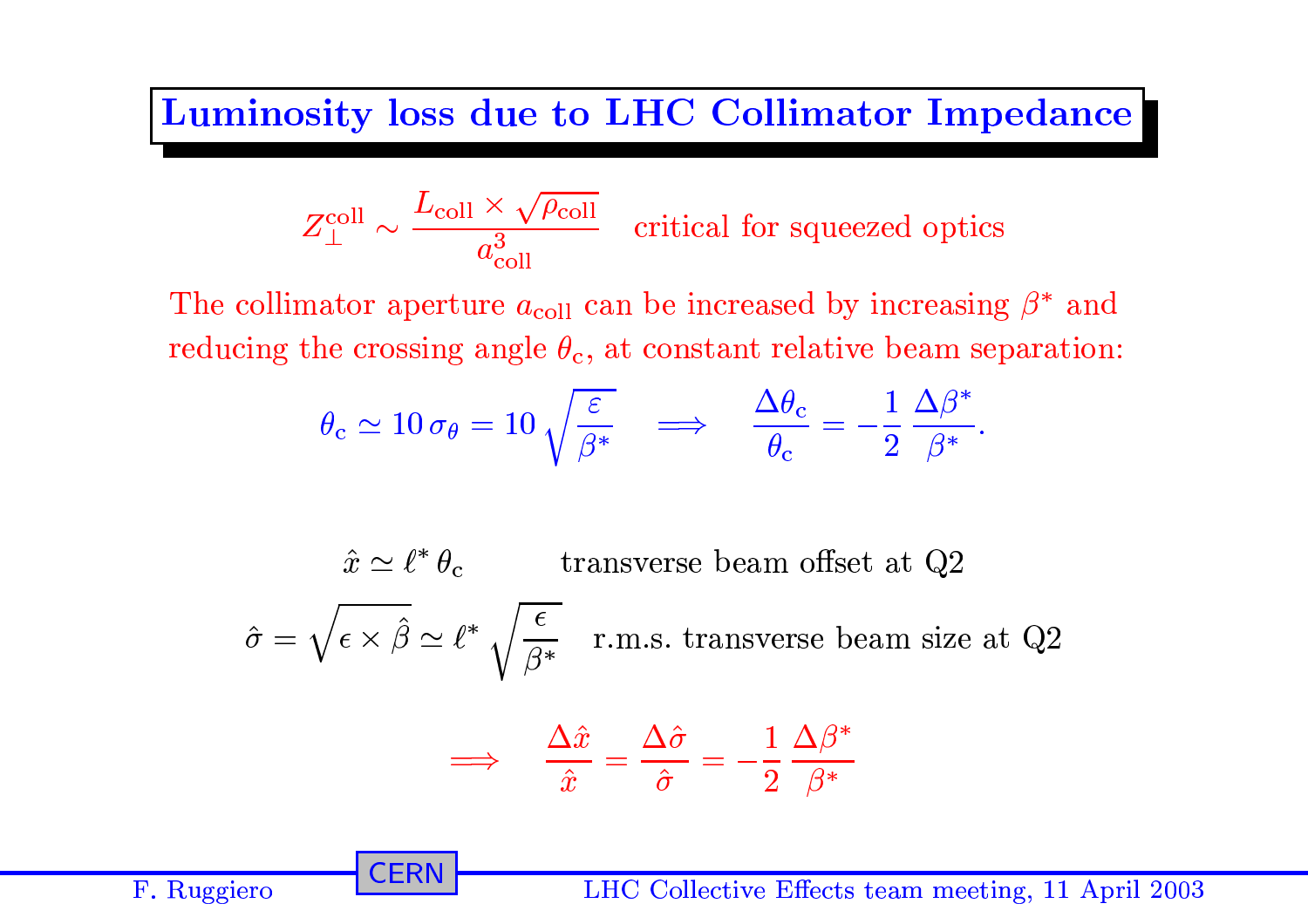## Luminosity loss due to LHC Collimator Impedance

$$
Z_{\perp}^{\text{coll}} \sim \frac{L_{\text{coll}} \times \sqrt{\rho_{\text{coll}}}}{a_{\text{coll}}^3}
$$
 critical for squeezed optics

The collimator aperture  $a_{\text{coll}}$  can be increased by increasing  $\beta^*$  and reducing the crossing angle  $\theta_c$ , at constant relative beam separation:

$$
\theta_{\rm c} \simeq 10 \,\sigma_{\theta} = 10 \,\sqrt{\frac{\varepsilon}{\beta^*}} \quad \Longrightarrow \quad \frac{\Delta \theta_{\rm c}}{\theta_{\rm c}} = -\frac{1}{2} \,\frac{\Delta \beta^*}{\beta^*}.
$$

 $\hat{x} \simeq \ell^* \theta_c$  transverse beam offset at Q2  $\hat{\sigma} = \sqrt{\epsilon \times \hat{\beta}} \simeq \ell^* \sqrt{\frac{\epsilon}{\beta^*}}$  r.m.s. transverse beam size at Q2  $\Rightarrow \quad \frac{\Delta \hat{x}}{\hat{x}} = \frac{\Delta \hat{\sigma}}{\hat{\sigma}} = -\frac{1}{2} \frac{\Delta \beta^*}{\beta^*}$ 

**CERN** 

F. Ruggiero

LHC Collective Effects team meeting, 11 April 2003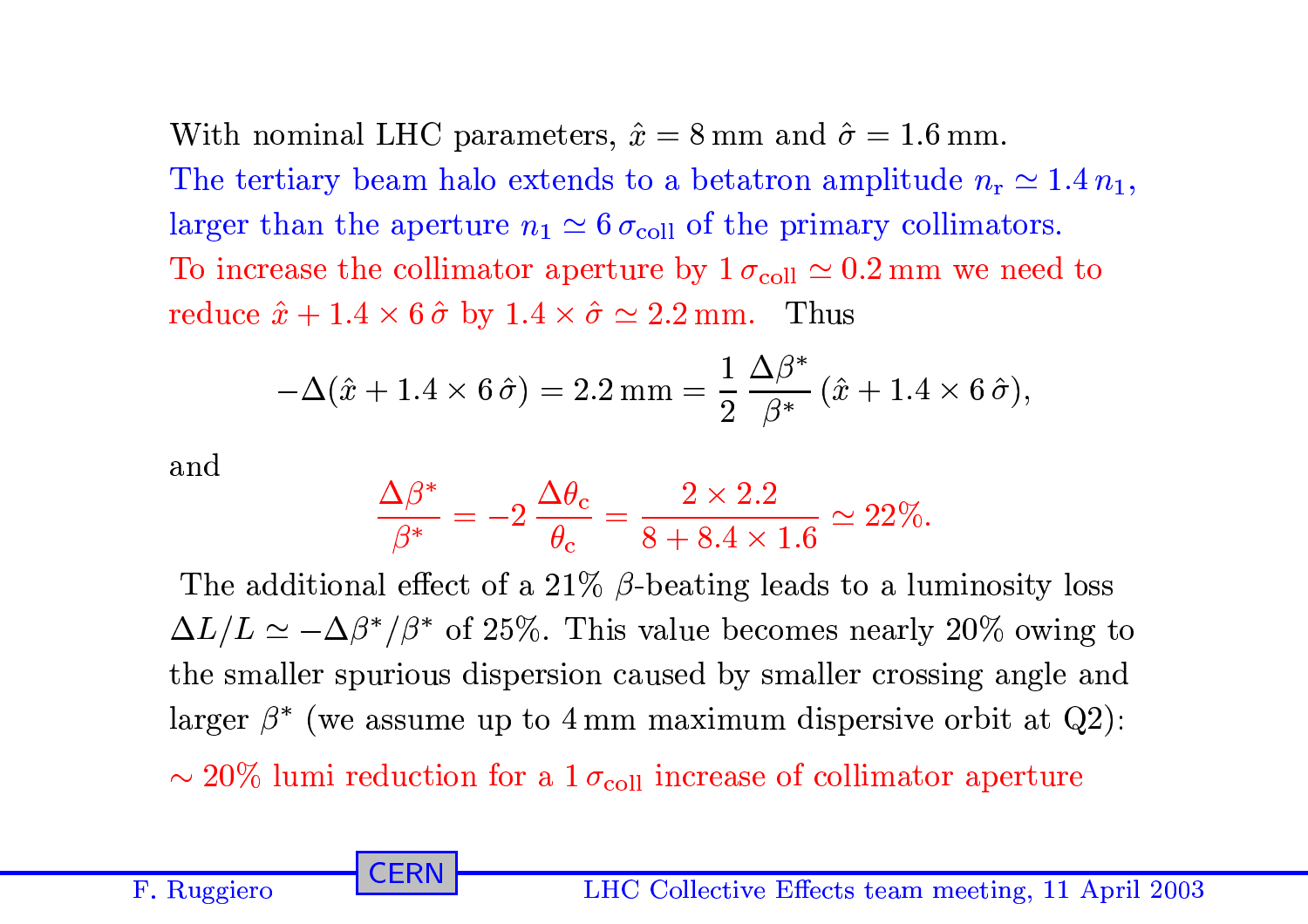With nominal LHC parameters,  $\hat{x} = 8$  mm and  $\hat{\sigma} = 1.6$  mm. The tertiary beam halo extends to a betatron amplitude  $n_r \simeq 1.4 n_1$ , larger than the aperture  $n_1 \simeq 6 \sigma_{\text{coll}}$  of the primary collimators. To increase the collimator aperture by  $1 \sigma_{\text{coll}} \simeq 0.2 \,\text{mm}$  we need to reduce  $\hat{x} + 1.4 \times 6\hat{\sigma}$  by  $1.4 \times \hat{\sigma} \simeq 2.2$  mm. Thus

$$
-\Delta(\hat{x} + 1.4 \times 6\hat{\sigma}) = 2.2 \,\text{mm} = \frac{1}{2} \frac{\Delta \beta^*}{\beta^*} (\hat{x} + 1.4 \times 6\hat{\sigma}),
$$

and

F. Ruggiero

$$
\frac{\Delta \beta^*}{\beta^*} = -2 \, \frac{\Delta \theta_{\rm c}}{\theta_{\rm c}} = \frac{2 \times 2.2}{8 + 8.4 \times 1.6} \simeq 22\%.
$$

The additional effect of a 21%  $\beta$ -beating leads to a luminosity loss  $\Delta L/L \simeq -\Delta\beta^*/\beta^*$  of 25%. This value becomes nearly 20% owing to the smaller spurious dispersion caused by smaller crossing angle and larger  $\beta^*$  (we assume up to 4 mm maximum dispersive orbit at Q2):

 $\sim$  20% lumi reduction for a  $1\sigma_{\text{coll}}$  increase of collimator aperture

CERN

LHC Collective Effects team meeting, 11 April 2003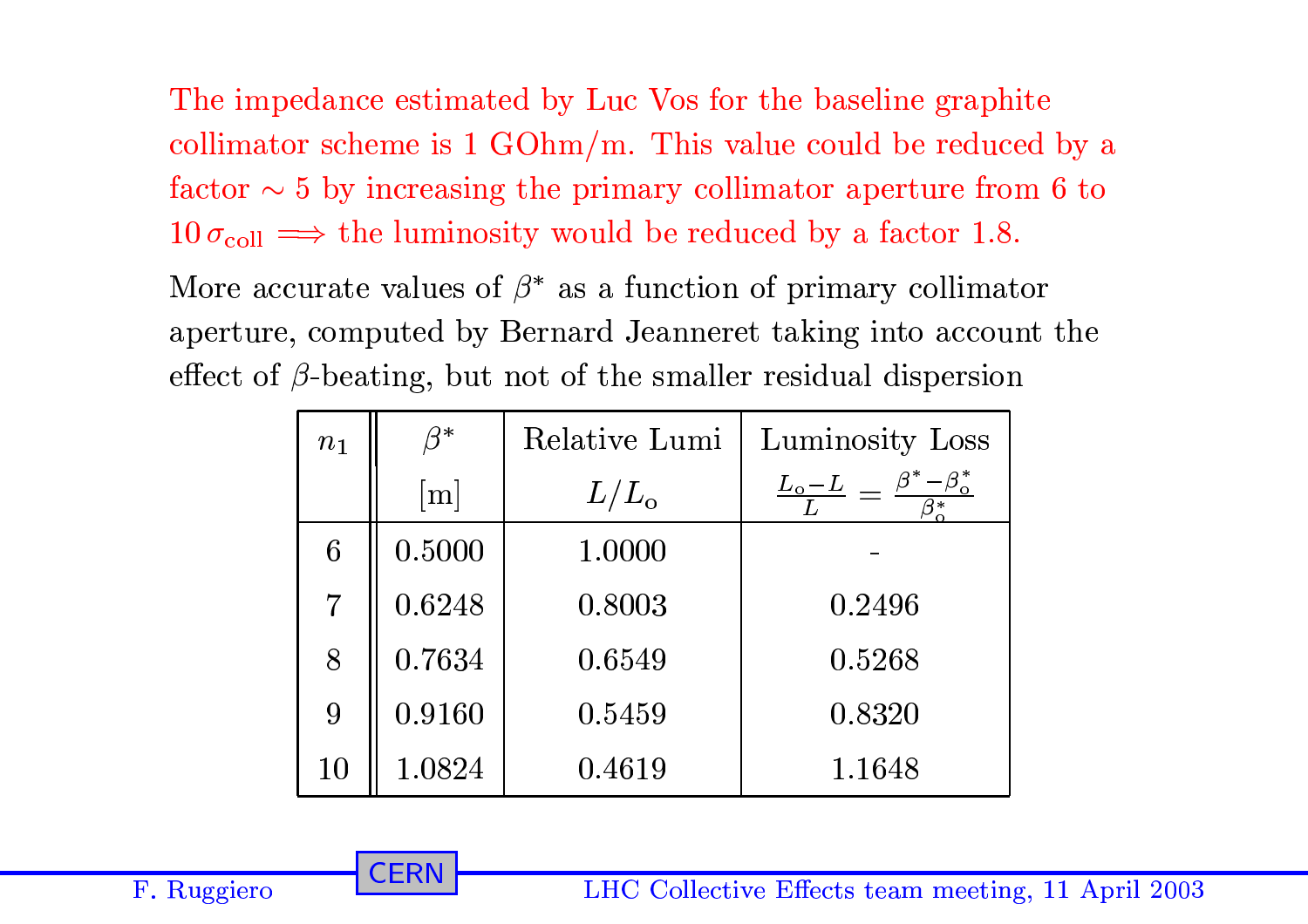The impedance estimated by Luc Vos for the baseline graphite collimator scheme is  $1 \text{ GOhm/m}$ . This value could be reduced by a factor  $\sim$  5 by increasing the primary collimator aperture from 6 to  $10\,\sigma_{\text{coll}} \Longrightarrow$  the luminosity would be reduced by a factor 1.8.

More accurate values of  $\beta^*$  as a function of primary collimator aperture, computed by Bernard Jeanneret taking into account the effect of  $\beta$ -beating, but not of the smaller residual dispersion

| $n_1$          |                   | Relative Lumi | Luminosity Loss                                               |
|----------------|-------------------|---------------|---------------------------------------------------------------|
|                | $\lceil m \rceil$ | $L/L_{\rm o}$ | $\frac{L_o - L}{I} = \frac{\beta^*}{I}$<br>$-\beta_{\rm o}^*$ |
| 6              | 0.5000            | 1.0000        |                                                               |
| $\overline{7}$ | 0.6248            | 0.8003        | 0.2496                                                        |
| 8              | 0.7634            | 0.6549        | 0.5268                                                        |
| 9              | 0.9160            | 0.5459        | 0.8320                                                        |
| 10             | 1.0824            | 0.4619        | 1.1648                                                        |

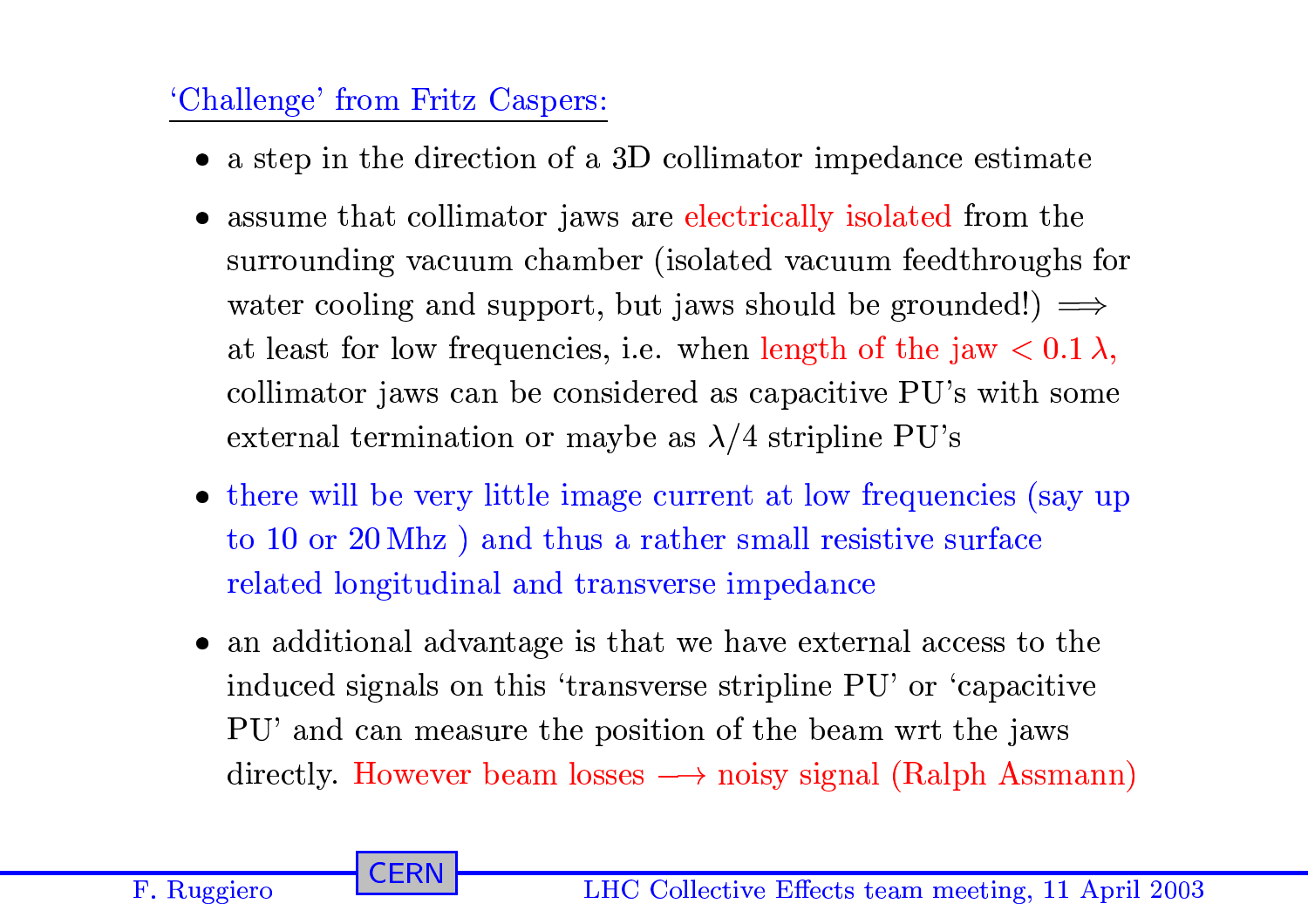## 'Challenge' from Fritz Caspers:

**CERN** 

- a step in the direction of a 3D collimator impedance estimate
- assume that collimator jaws are electrically isolated from the surrounding vacuum chamber (isolated vacuum feedthroughs for water cooling and support, but jaws should be grounded!)  $\implies$ at least for low frequencies, i.e. when length of the jaw  $< 0.1 \lambda$ , collimator jaws can be considered as capacitive PU's with some external termination or maybe as  $\lambda/4$  stripline PU's
- there will be very little image current at low frequencies (say up) to 10 or  $20 \text{ Mhz}$  ) and thus a rather small resistive surface related longitudinal and transverse impedance
- an additional advantage is that we have external access to the induced signals on this 'transverse stripline PU' or 'capacitive PU' and can measure the position of the beam wrt the jaws directly. However beam losses  $\longrightarrow$  noisy signal (Ralph Assmann)

F. Ruggiero